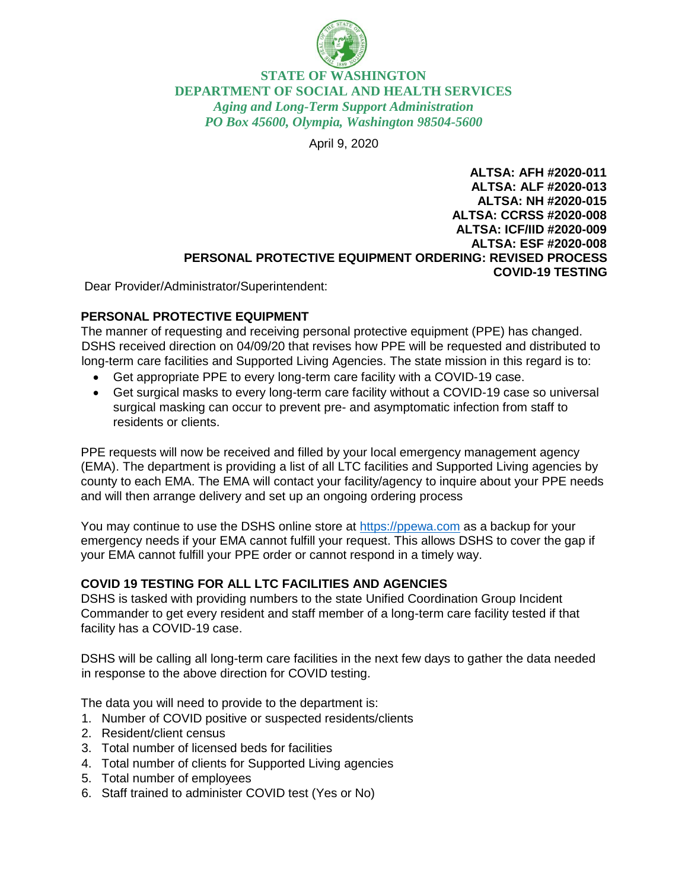

## **STATE OF WASHINGTON DEPARTMENT OF SOCIAL AND HEALTH SERVICES** *Aging and Long-Term Support Administration PO Box 45600, Olympia, Washington 98504-5600*

April 9, 2020

**ALTSA: AFH #2020-011 ALTSA: ALF #2020-013 ALTSA: NH #2020-015 ALTSA: CCRSS #2020-008 ALTSA: ICF/IID #2020-009 ALTSA: ESF #2020-008 PERSONAL PROTECTIVE EQUIPMENT ORDERING: REVISED PROCESS COVID-19 TESTING**

Dear Provider/Administrator/Superintendent:

## **PERSONAL PROTECTIVE EQUIPMENT**

The manner of requesting and receiving personal protective equipment (PPE) has changed. DSHS received direction on 04/09/20 that revises how PPE will be requested and distributed to long-term care facilities and Supported Living Agencies. The state mission in this regard is to:

- Get appropriate PPE to every long-term care facility with a COVID-19 case.
- Get surgical masks to every long-term care facility without a COVID-19 case so universal surgical masking can occur to prevent pre- and asymptomatic infection from staff to residents or clients.

PPE requests will now be received and filled by your local emergency management agency (EMA). The department is providing a list of all LTC facilities and Supported Living agencies by county to each EMA. The EMA will contact your facility/agency to inquire about your PPE needs and will then arrange delivery and set up an ongoing ordering process

You may continue to use the DSHS online store at [https://ppewa.com](https://ppewa.com/) as a backup for your emergency needs if your EMA cannot fulfill your request. This allows DSHS to cover the gap if your EMA cannot fulfill your PPE order or cannot respond in a timely way.

## **COVID 19 TESTING FOR ALL LTC FACILITIES AND AGENCIES**

DSHS is tasked with providing numbers to the state Unified Coordination Group Incident Commander to get every resident and staff member of a long-term care facility tested if that facility has a COVID-19 case.

DSHS will be calling all long-term care facilities in the next few days to gather the data needed in response to the above direction for COVID testing.

The data you will need to provide to the department is:

- 1. Number of COVID positive or suspected residents/clients
- 2. Resident/client census
- 3. Total number of licensed beds for facilities
- 4. Total number of clients for Supported Living agencies
- 5. Total number of employees
- 6. Staff trained to administer COVID test (Yes or No)